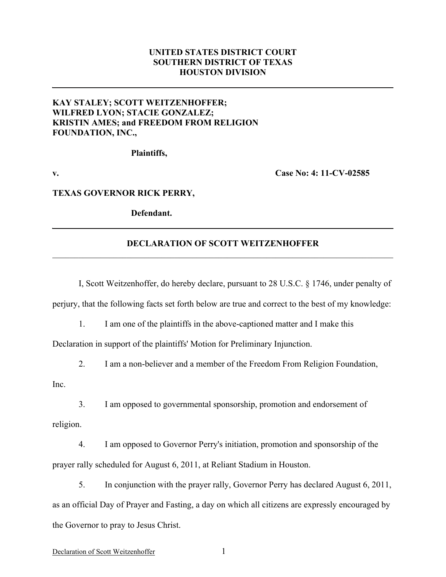# **UNITED STATES DISTRICT COURT SOUTHERN DISTRICT OF TEXAS HOUSTON DIVISION**

# **KAY STALEY; SCOTT WEITZENHOFFER; WILFRED LYON; STACIE GONZALEZ; KRISTIN AMES; and FREEDOM FROM RELIGION FOUNDATION, INC.,**

**Plaintiffs,**

**v. Case No: 4: 11-CV-02585**

#### **TEXAS GOVERNOR RICK PERRY,**

**Defendant.**

## **DECLARATION OF SCOTT WEITZENHOFFER**  $\mathcal{L}_\mathcal{L} = \{ \mathcal{L}_\mathcal{L} = \{ \mathcal{L}_\mathcal{L} = \{ \mathcal{L}_\mathcal{L} = \{ \mathcal{L}_\mathcal{L} = \{ \mathcal{L}_\mathcal{L} = \{ \mathcal{L}_\mathcal{L} = \{ \mathcal{L}_\mathcal{L} = \{ \mathcal{L}_\mathcal{L} = \{ \mathcal{L}_\mathcal{L} = \{ \mathcal{L}_\mathcal{L} = \{ \mathcal{L}_\mathcal{L} = \{ \mathcal{L}_\mathcal{L} = \{ \mathcal{L}_\mathcal{L} = \{ \mathcal{L}_\mathcal{$

I, Scott Weitzenhoffer, do hereby declare, pursuant to 28 U.S.C. § 1746, under penalty of

perjury, that the following facts set forth below are true and correct to the best of my knowledge:

1. I am one of the plaintiffs in the above-captioned matter and I make this

Declaration in support of the plaintiffs' Motion for Preliminary Injunction.

2. I am a non-believer and a member of the Freedom From Religion Foundation,

Inc.

3. I am opposed to governmental sponsorship, promotion and endorsement of

religion.

4. I am opposed to Governor Perry's initiation, promotion and sponsorship of the prayer rally scheduled for August 6, 2011, at Reliant Stadium in Houston.

5. In conjunction with the prayer rally, Governor Perry has declared August 6, 2011, as an official Day of Prayer and Fasting, a day on which all citizens are expressly encouraged by the Governor to pray to Jesus Christ.

### Declaration of Scott Weitzenhoffer 1